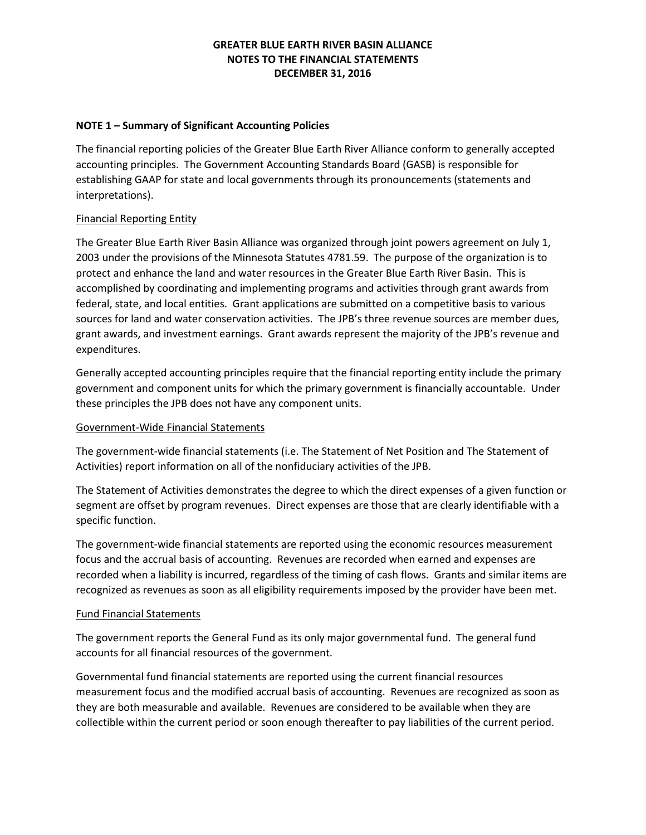## **NOTE 1 – Summary of Significant Accounting Policies**

The financial reporting policies of the Greater Blue Earth River Alliance conform to generally accepted accounting principles. The Government Accounting Standards Board (GASB) is responsible for establishing GAAP for state and local governments through its pronouncements (statements and interpretations).

## Financial Reporting Entity

The Greater Blue Earth River Basin Alliance was organized through joint powers agreement on July 1, 2003 under the provisions of the Minnesota Statutes 4781.59. The purpose of the organization is to protect and enhance the land and water resources in the Greater Blue Earth River Basin. This is accomplished by coordinating and implementing programs and activities through grant awards from federal, state, and local entities. Grant applications are submitted on a competitive basis to various sources for land and water conservation activities. The JPB's three revenue sources are member dues, grant awards, and investment earnings. Grant awards represent the majority of the JPB's revenue and expenditures.

Generally accepted accounting principles require that the financial reporting entity include the primary government and component units for which the primary government is financially accountable. Under these principles the JPB does not have any component units.

## Government-Wide Financial Statements

The government-wide financial statements (i.e. The Statement of Net Position and The Statement of Activities) report information on all of the nonfiduciary activities of the JPB.

The Statement of Activities demonstrates the degree to which the direct expenses of a given function or segment are offset by program revenues. Direct expenses are those that are clearly identifiable with a specific function.

The government-wide financial statements are reported using the economic resources measurement focus and the accrual basis of accounting. Revenues are recorded when earned and expenses are recorded when a liability is incurred, regardless of the timing of cash flows. Grants and similar items are recognized as revenues as soon as all eligibility requirements imposed by the provider have been met.

## Fund Financial Statements

The government reports the General Fund as its only major governmental fund. The general fund accounts for all financial resources of the government.

Governmental fund financial statements are reported using the current financial resources measurement focus and the modified accrual basis of accounting. Revenues are recognized as soon as they are both measurable and available. Revenues are considered to be available when they are collectible within the current period or soon enough thereafter to pay liabilities of the current period.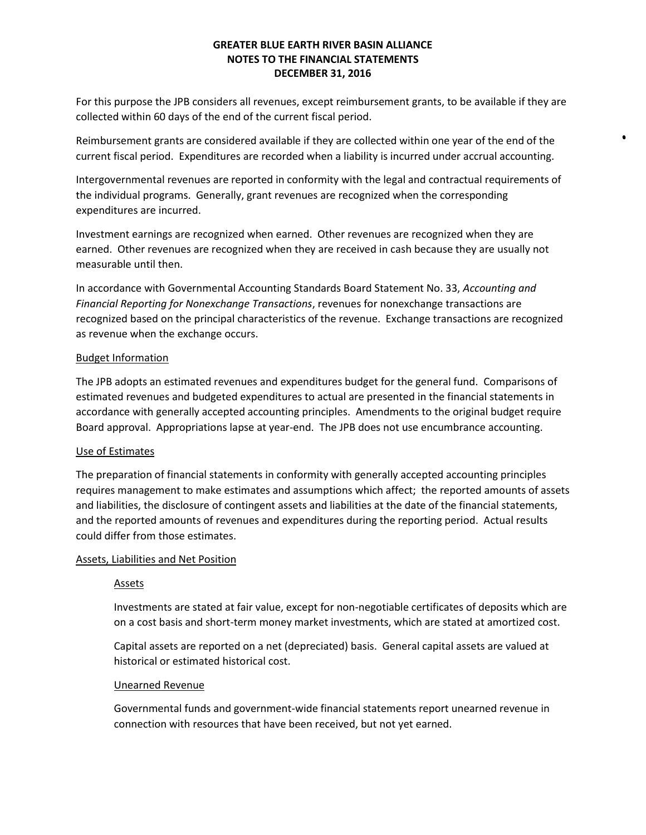For this purpose the JPB considers all revenues, except reimbursement grants, to be available if they are collected within 60 days of the end of the current fiscal period.

Reimbursement grants are considered available if they are collected within one year of the end of the current fiscal period. Expenditures are recorded when a liability is incurred under accrual accounting.

Intergovernmental revenues are reported in conformity with the legal and contractual requirements of the individual programs. Generally, grant revenues are recognized when the corresponding expenditures are incurred.

Investment earnings are recognized when earned. Other revenues are recognized when they are earned. Other revenues are recognized when they are received in cash because they are usually not measurable until then.

In accordance with Governmental Accounting Standards Board Statement No. 33, *Accounting and Financial Reporting for Nonexchange Transactions*, revenues for nonexchange transactions are recognized based on the principal characteristics of the revenue. Exchange transactions are recognized as revenue when the exchange occurs.

## Budget Information

The JPB adopts an estimated revenues and expenditures budget for the general fund. Comparisons of estimated revenues and budgeted expenditures to actual are presented in the financial statements in accordance with generally accepted accounting principles. Amendments to the original budget require Board approval. Appropriations lapse at year-end. The JPB does not use encumbrance accounting.

## Use of Estimates

The preparation of financial statements in conformity with generally accepted accounting principles requires management to make estimates and assumptions which affect; the reported amounts of assets and liabilities, the disclosure of contingent assets and liabilities at the date of the financial statements, and the reported amounts of revenues and expenditures during the reporting period. Actual results could differ from those estimates.

## Assets, Liabilities and Net Position

# Assets

Investments are stated at fair value, except for non-negotiable certificates of deposits which are on a cost basis and short-term money market investments, which are stated at amortized cost.

Capital assets are reported on a net (depreciated) basis. General capital assets are valued at historical or estimated historical cost.

## Unearned Revenue

Governmental funds and government-wide financial statements report unearned revenue in connection with resources that have been received, but not yet earned.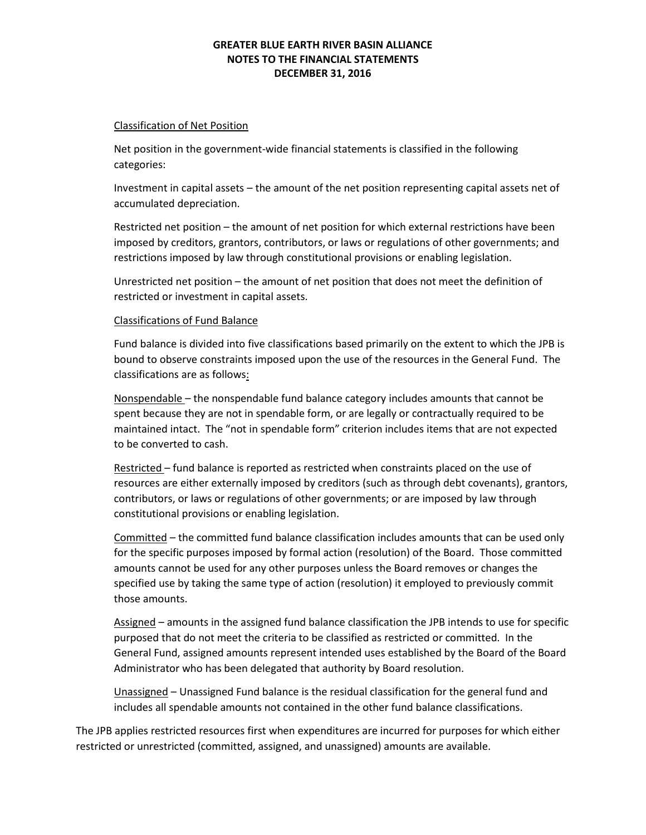#### Classification of Net Position

Net position in the government-wide financial statements is classified in the following categories:

Investment in capital assets – the amount of the net position representing capital assets net of accumulated depreciation.

Restricted net position – the amount of net position for which external restrictions have been imposed by creditors, grantors, contributors, or laws or regulations of other governments; and restrictions imposed by law through constitutional provisions or enabling legislation.

Unrestricted net position – the amount of net position that does not meet the definition of restricted or investment in capital assets.

## Classifications of Fund Balance

Fund balance is divided into five classifications based primarily on the extent to which the JPB is bound to observe constraints imposed upon the use of the resources in the General Fund. The classifications are as follows:

Nonspendable – the nonspendable fund balance category includes amounts that cannot be spent because they are not in spendable form, or are legally or contractually required to be maintained intact. The "not in spendable form" criterion includes items that are not expected to be converted to cash.

Restricted – fund balance is reported as restricted when constraints placed on the use of resources are either externally imposed by creditors (such as through debt covenants), grantors, contributors, or laws or regulations of other governments; or are imposed by law through constitutional provisions or enabling legislation.

Committed – the committed fund balance classification includes amounts that can be used only for the specific purposes imposed by formal action (resolution) of the Board. Those committed amounts cannot be used for any other purposes unless the Board removes or changes the specified use by taking the same type of action (resolution) it employed to previously commit those amounts.

Assigned – amounts in the assigned fund balance classification the JPB intends to use for specific purposed that do not meet the criteria to be classified as restricted or committed. In the General Fund, assigned amounts represent intended uses established by the Board of the Board Administrator who has been delegated that authority by Board resolution.

Unassigned – Unassigned Fund balance is the residual classification for the general fund and includes all spendable amounts not contained in the other fund balance classifications.

The JPB applies restricted resources first when expenditures are incurred for purposes for which either restricted or unrestricted (committed, assigned, and unassigned) amounts are available.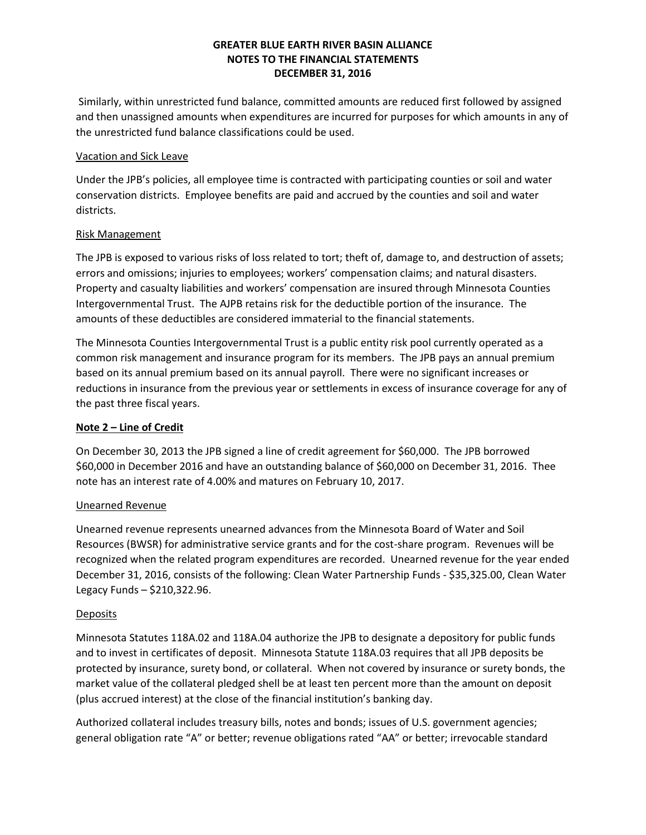Similarly, within unrestricted fund balance, committed amounts are reduced first followed by assigned and then unassigned amounts when expenditures are incurred for purposes for which amounts in any of the unrestricted fund balance classifications could be used.

## Vacation and Sick Leave

Under the JPB's policies, all employee time is contracted with participating counties or soil and water conservation districts. Employee benefits are paid and accrued by the counties and soil and water districts.

# Risk Management

The JPB is exposed to various risks of loss related to tort; theft of, damage to, and destruction of assets; errors and omissions; injuries to employees; workers' compensation claims; and natural disasters. Property and casualty liabilities and workers' compensation are insured through Minnesota Counties Intergovernmental Trust. The AJPB retains risk for the deductible portion of the insurance. The amounts of these deductibles are considered immaterial to the financial statements.

The Minnesota Counties Intergovernmental Trust is a public entity risk pool currently operated as a common risk management and insurance program for its members. The JPB pays an annual premium based on its annual premium based on its annual payroll. There were no significant increases or reductions in insurance from the previous year or settlements in excess of insurance coverage for any of the past three fiscal years.

# **Note 2 – Line of Credit**

On December 30, 2013 the JPB signed a line of credit agreement for \$60,000. The JPB borrowed \$60,000 in December 2016 and have an outstanding balance of \$60,000 on December 31, 2016. Thee note has an interest rate of 4.00% and matures on February 10, 2017.

## Unearned Revenue

Unearned revenue represents unearned advances from the Minnesota Board of Water and Soil Resources (BWSR) for administrative service grants and for the cost-share program. Revenues will be recognized when the related program expenditures are recorded. Unearned revenue for the year ended December 31, 2016, consists of the following: Clean Water Partnership Funds - \$35,325.00, Clean Water Legacy Funds – \$210,322.96.

## **Deposits**

Minnesota Statutes 118A.02 and 118A.04 authorize the JPB to designate a depository for public funds and to invest in certificates of deposit. Minnesota Statute 118A.03 requires that all JPB deposits be protected by insurance, surety bond, or collateral. When not covered by insurance or surety bonds, the market value of the collateral pledged shell be at least ten percent more than the amount on deposit (plus accrued interest) at the close of the financial institution's banking day.

Authorized collateral includes treasury bills, notes and bonds; issues of U.S. government agencies; general obligation rate "A" or better; revenue obligations rated "AA" or better; irrevocable standard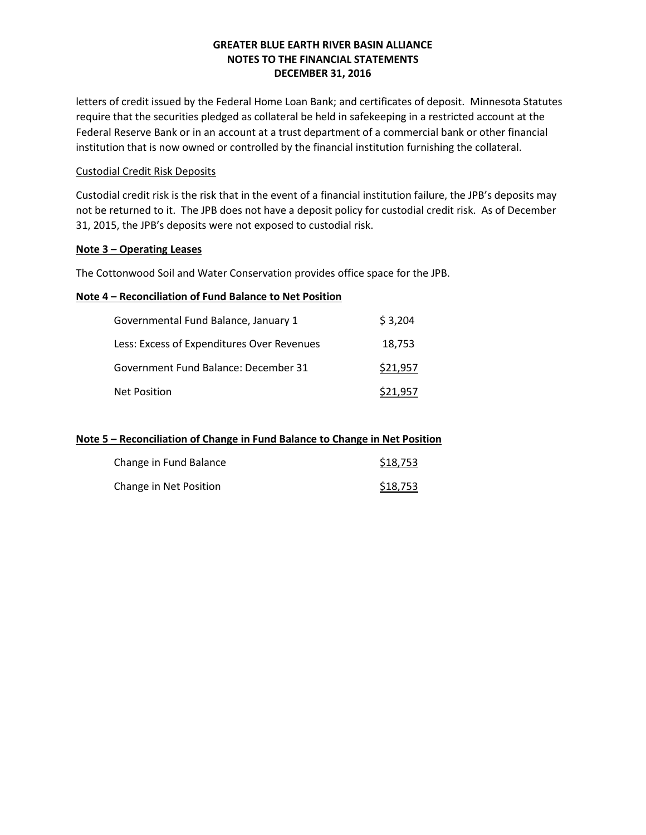letters of credit issued by the Federal Home Loan Bank; and certificates of deposit. Minnesota Statutes require that the securities pledged as collateral be held in safekeeping in a restricted account at the Federal Reserve Bank or in an account at a trust department of a commercial bank or other financial institution that is now owned or controlled by the financial institution furnishing the collateral.

# Custodial Credit Risk Deposits

Custodial credit risk is the risk that in the event of a financial institution failure, the JPB's deposits may not be returned to it. The JPB does not have a deposit policy for custodial credit risk. As of December 31, 2015, the JPB's deposits were not exposed to custodial risk.

## **Note 3 – Operating Leases**

The Cottonwood Soil and Water Conservation provides office space for the JPB.

## **Note 4 – Reconciliation of Fund Balance to Net Position**

| Governmental Fund Balance, January 1       | \$3,204  |
|--------------------------------------------|----------|
| Less: Excess of Expenditures Over Revenues | 18.753   |
| Government Fund Balance: December 31       | \$21,957 |
| <b>Net Position</b>                        | \$21.957 |

## **Note 5 – Reconciliation of Change in Fund Balance to Change in Net Position**

| Change in Fund Balance | \$18,753 |
|------------------------|----------|
| Change in Net Position | \$18,753 |